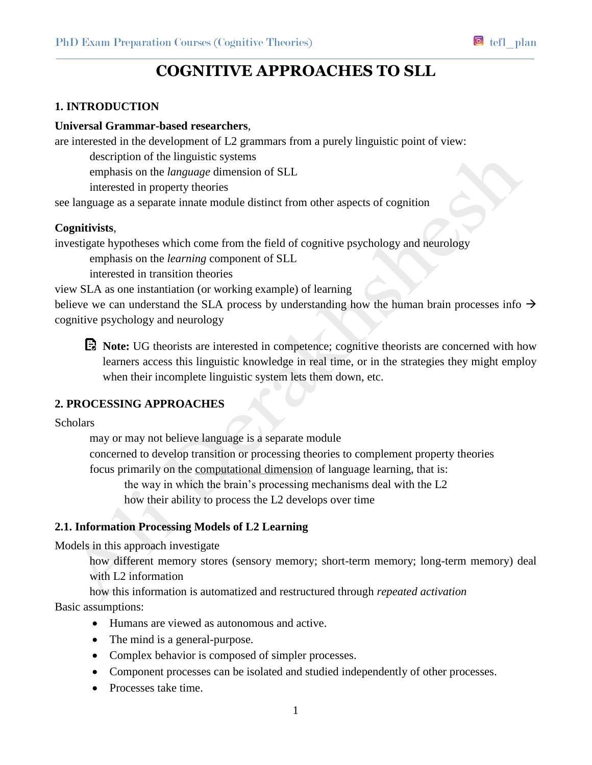# **COGNITIVE APPROACHES TO SLL**

## **1. INTRODUCTION**

#### **Universal Grammar-based researchers**,

are interested in the development of L2 grammars from a purely linguistic point of view:

description of the linguistic systems

emphasis on the *language* dimension of SLL

interested in property theories

see language as a separate innate module distinct from other aspects of cognition

## **Cognitivists**,

investigate hypotheses which come from the field of cognitive psychology and neurology

emphasis on the *learning* component of SLL

interested in transition theories

view SLA as one instantiation (or working example) of learning

believe we can understand the SLA process by understanding how the human brain processes info  $\rightarrow$ cognitive psychology and neurology



**Note:** UG theorists are interested in competence; cognitive theorists are concerned with how learners access this linguistic knowledge in real time, or in the strategies they might employ when their incomplete linguistic system lets them down, etc.

# **2. PROCESSING APPROACHES**

#### Scholars

may or may not believe language is a separate module concerned to develop transition or processing theories to complement property theories focus primarily on the computational dimension of language learning, that is: the way in which the brain's processing mechanisms deal with the L2 how their ability to process the L2 develops over time

## **2.1. Information Processing Models of L2 Learning**

Models in this approach investigate

how different memory stores (sensory memory; short-term memory; long-term memory) deal with L2 information

how this information is automatized and restructured through *repeated activation* Basic assumptions:

- Humans are viewed as autonomous and active.
- The mind is a general-purpose.
- Complex behavior is composed of simpler processes.
- Component processes can be isolated and studied independently of other processes.
- Processes take time.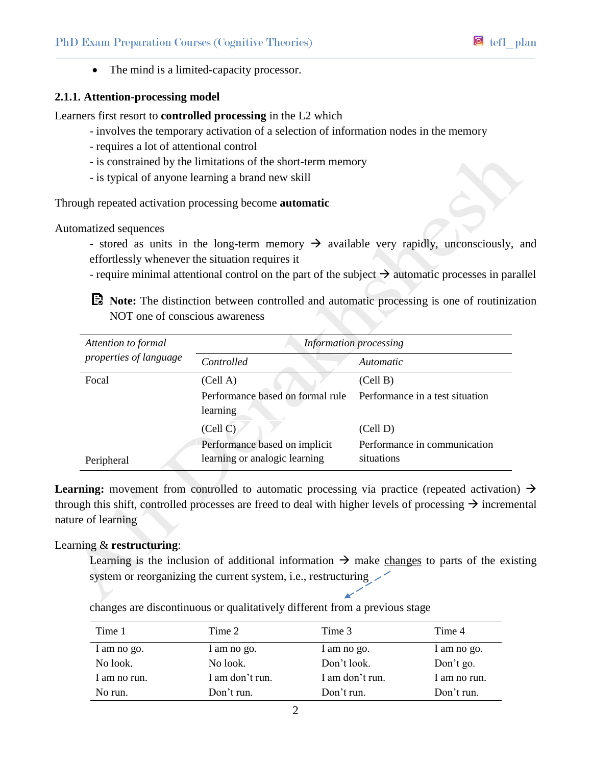• The mind is a limited-capacity processor.

## **2.1.1. Attention-processing model**

Learners first resort to **controlled processing** in the L2 which

- involves the temporary activation of a selection of information nodes in the memory
- requires a lot of attentional control
- is constrained by the limitations of the short-term memory
- is typical of anyone learning a brand new skill

Through repeated activation processing become **automatic**

Automatized sequences

- stored as units in the long-term memory  $\rightarrow$  available very rapidly, unconsciously, and effortlessly whenever the situation requires it
- require minimal attentional control on the part of the subject  $\rightarrow$  automatic processes in parallel

**Note:** The distinction between controlled and automatic processing is one of routinization NOT one of conscious awareness

| Attention to formal<br>properties of language | <b>Information processing</b>    |                                 |  |
|-----------------------------------------------|----------------------------------|---------------------------------|--|
|                                               | Controlled                       | <i>Automatic</i>                |  |
| Focal                                         | (Cell A)                         | (Cell B)                        |  |
|                                               | Performance based on formal rule | Performance in a test situation |  |
|                                               | learning                         |                                 |  |
|                                               | (Cell C)                         | (Cell D)                        |  |
|                                               | Performance based on implicit    | Performance in communication    |  |
| Peripheral                                    | learning or analogic learning    | situations                      |  |

**Learning:** movement from controlled to automatic processing via practice (repeated activation)  $\rightarrow$ through this shift, controlled processes are freed to deal with higher levels of processing  $\rightarrow$  incremental nature of learning

## Learning & **restructuring**:

Learning is the inclusion of additional information  $\rightarrow$  make changes to parts of the existing system or reorganizing the current system, i.e., restructuring

| Time 1       | Time 2          | Time 3          | Time 4       |
|--------------|-----------------|-----------------|--------------|
| I am no go.  | I am no go.     | I am no go.     | I am no go.  |
| No look.     | No look.        | Don't look.     | Don't go.    |
| I am no run. | I am don't run. | I am don't run. | I am no run. |
| No run.      | Don't run.      | Don't run.      | Don't run.   |

changes are discontinuous or qualitatively different from a previous stage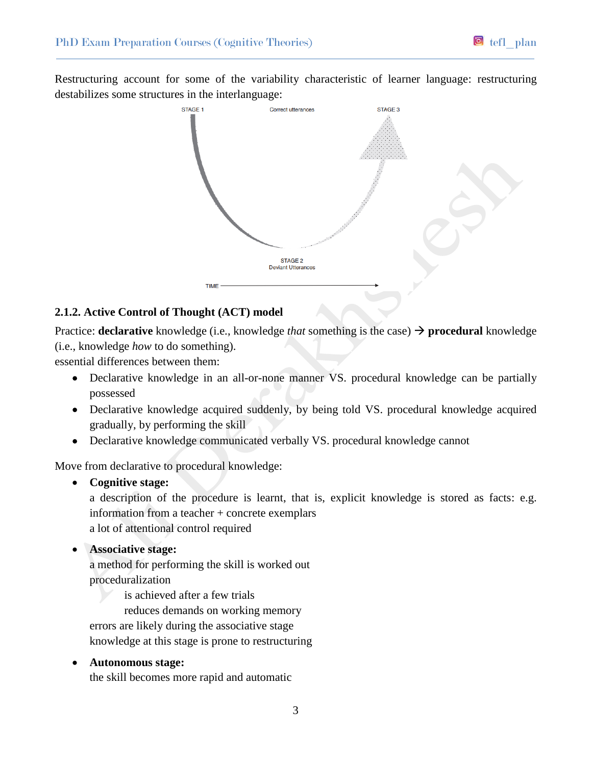Restructuring account for some of the variability characteristic of learner language: restructuring destabilizes some structures in the interlanguage:



## **2.1.2. Active Control of Thought (ACT) model**

Practice: **declarative** knowledge (i.e., knowledge *that* something is the case)  $\rightarrow$  **procedural** knowledge (i.e., knowledge *how* to do something).

essential differences between them:

- Declarative knowledge in an all-or-none manner VS. procedural knowledge can be partially possessed
- Declarative knowledge acquired suddenly, by being told VS. procedural knowledge acquired gradually, by performing the skill
- Declarative knowledge communicated verbally VS. procedural knowledge cannot

Move from declarative to procedural knowledge:

**Cognitive stage:**

a description of the procedure is learnt, that is, explicit knowledge is stored as facts: e.g. information from a teacher + concrete exemplars a lot of attentional control required

**Associative stage:**

a method for performing the skill is worked out proceduralization

is achieved after a few trials

reduces demands on working memory

errors are likely during the associative stage

knowledge at this stage is prone to restructuring

**Autonomous stage:**

the skill becomes more rapid and automatic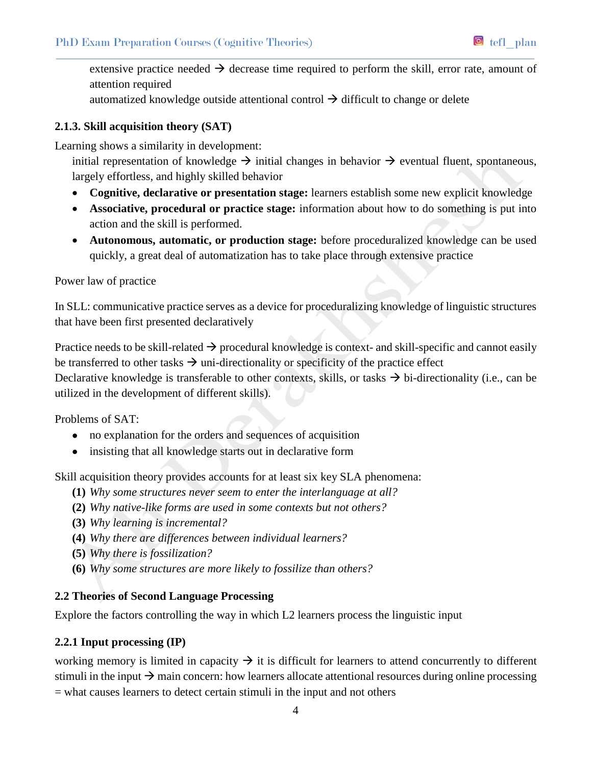extensive practice needed  $\rightarrow$  decrease time required to perform the skill, error rate, amount of attention required

automatized knowledge outside attentional control  $\rightarrow$  difficult to change or delete

# **2.1.3. Skill acquisition theory (SAT)**

Learning shows a similarity in development:

initial representation of knowledge  $\rightarrow$  initial changes in behavior  $\rightarrow$  eventual fluent, spontaneous, largely effortless, and highly skilled behavior

- **Cognitive, declarative or presentation stage:** learners establish some new explicit knowledge
- **Associative, procedural or practice stage:** information about how to do something is put into action and the skill is performed.
- **Autonomous, automatic, or production stage:** before proceduralized knowledge can be used quickly, a great deal of automatization has to take place through extensive practice

## Power law of practice

In SLL: communicative practice serves as a device for proceduralizing knowledge of linguistic structures that have been first presented declaratively

Practice needs to be skill-related  $\rightarrow$  procedural knowledge is context- and skill-specific and cannot easily be transferred to other tasks  $\rightarrow$  uni-directionality or specificity of the practice effect

Declarative knowledge is transferable to other contexts, skills, or tasks  $\rightarrow$  bi-directionality (i.e., can be utilized in the development of different skills).

Problems of SAT:

- no explanation for the orders and sequences of acquisition
- insisting that all knowledge starts out in declarative form

Skill acquisition theory provides accounts for at least six key SLA phenomena:

- **(1)** *Why some structures never seem to enter the interlanguage at all?*
- **(2)** *Why native-like forms are used in some contexts but not others?*
- **(3)** *Why learning is incremental?*
- **(4)** *Why there are differences between individual learners?*
- **(5)** *Why there is fossilization?*
- **(6)** *Why some structures are more likely to fossilize than others?*

# **2.2 Theories of Second Language Processing**

Explore the factors controlling the way in which L2 learners process the linguistic input

# **2.2.1 Input processing (IP)**

working memory is limited in capacity  $\rightarrow$  it is difficult for learners to attend concurrently to different stimuli in the input  $\rightarrow$  main concern: how learners allocate attentional resources during online processing  $=$  what causes learners to detect certain stimuli in the input and not others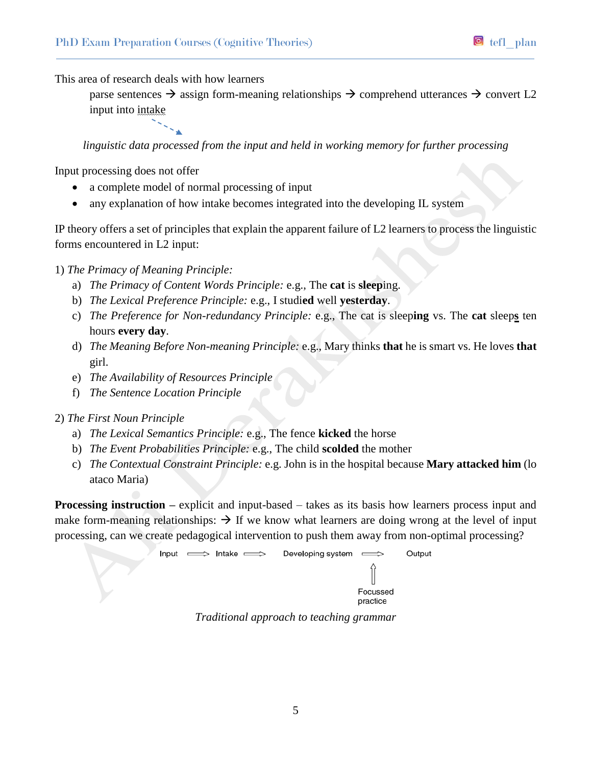This area of research deals with how learners

parse sentences  $\rightarrow$  assign form-meaning relationships  $\rightarrow$  comprehend utterances  $\rightarrow$  convert L2 input into intake

*linguistic data processed from the input and held in working memory for further processing*

Input processing does not offer

- a complete model of normal processing of input
- any explanation of how intake becomes integrated into the developing IL system

IP theory offers a set of principles that explain the apparent failure of L2 learners to process the linguistic forms encountered in L2 input:

1) *The Primacy of Meaning Principle:*

- a) *The Primacy of Content Words Principle:* e.g., The **cat** is **sleep**ing.
- b) *The Lexical Preference Principle:* e.g., I studi**ed** well **yesterday**.
- c) *The Preference for Non-redundancy Principle:* e.g., The cat is sleep**ing** vs. The **cat** sleep**s** ten hours **every day**.
- d) *The Meaning Before Non-meaning Principle:* e.g., Mary thinks **that** he is smart vs. He loves **that** girl.
- e) *The Availability of Resources Principle*
- f) *The Sentence Location Principle*
- 2) *The First Noun Principle*
	- a) *The Lexical Semantics Principle:* e.g., The fence **kicked** the horse
	- b) *The Event Probabilities Principle:* e.g., The child **scolded** the mother
	- c) *The Contextual Constraint Principle:* e.g. John is in the hospital because **Mary attacked him** (lo ataco Maria)

**Processing instruction** – explicit and input-based – takes as its basis how learners process input and make form-meaning relationships:  $\rightarrow$  If we know what learners are doing wrong at the level of input processing, can we create pedagogical intervention to push them away from non-optimal processing?

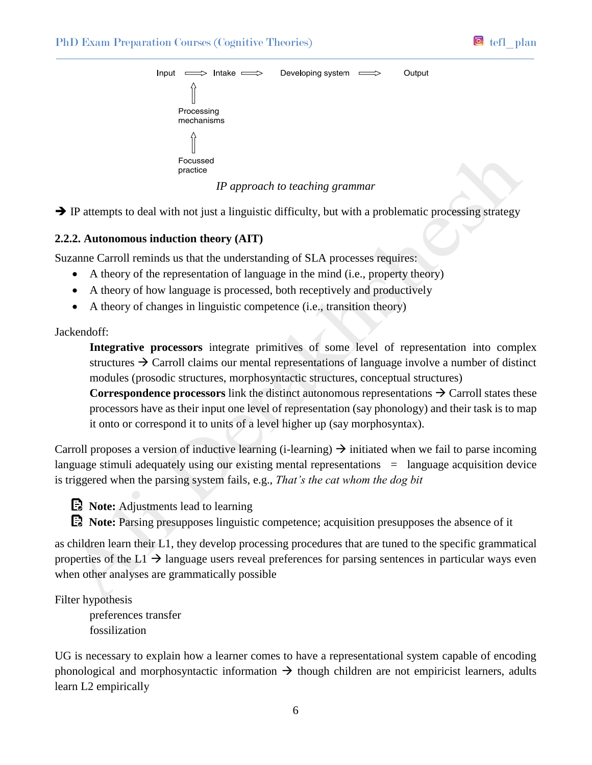



*IP approach to teaching grammar*

 $\rightarrow$  IP attempts to deal with not just a linguistic difficulty, but with a problematic processing strategy

## **2.2.2. Autonomous induction theory (AIT)**

Suzanne Carroll reminds us that the understanding of SLA processes requires:

- A theory of the representation of language in the mind (i.e., property theory)
- A theory of how language is processed, both receptively and productively
- A theory of changes in linguistic competence (i.e., transition theory)

## Jackendoff:

**Integrative processors** integrate primitives of some level of representation into complex structures  $\rightarrow$  Carroll claims our mental representations of language involve a number of distinct modules (prosodic structures, morphosyntactic structures, conceptual structures)

**Correspondence processors** link the distinct autonomous representations  $\rightarrow$  Carroll states these processors have as their input one level of representation (say phonology) and their task is to map it onto or correspond it to units of a level higher up (say morphosyntax).

Carroll proposes a version of inductive learning (i-learning)  $\rightarrow$  initiated when we fail to parse incoming language stimuli adequately using our existing mental representations = language acquisition device is triggered when the parsing system fails, e.g., *That's the cat whom the dog bit*

**Note:** Adjustments lead to learning

**Note:** Parsing presupposes linguistic competence; acquisition presupposes the absence of it

as children learn their L1, they develop processing procedures that are tuned to the specific grammatical properties of the  $L1 \rightarrow$  language users reveal preferences for parsing sentences in particular ways even when other analyses are grammatically possible

## Filter hypothesis

preferences transfer fossilization

UG is necessary to explain how a learner comes to have a representational system capable of encoding phonological and morphosyntactic information  $\rightarrow$  though children are not empiricist learners, adults learn L2 empirically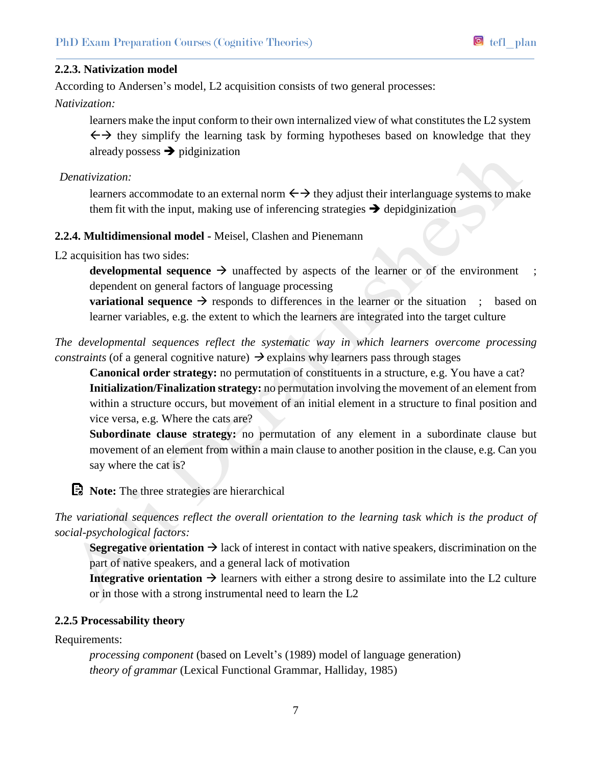## **2.2.3. Nativization model**

According to Andersen's model, L2 acquisition consists of two general processes:

*Nativization:*

learners make the input conform to their own internalized view of what constitutes the L2 system  $\leftrightarrow$  they simplify the learning task by forming hypotheses based on knowledge that they already possess  $\rightarrow$  pidginization

*Denativization:*

learners accommodate to an external norm  $\leftrightarrow$  they adjust their interlanguage systems to make them fit with the input, making use of inferencing strategies  $\rightarrow$  depidginization

## **2.2.4. Multidimensional model -** Meisel, Clashen and Pienemann

L2 acquisition has two sides:

**developmental sequence**  $\rightarrow$  unaffected by aspects of the learner or of the environment ; dependent on general factors of language processing

**variational sequence**  $\rightarrow$  responds to differences in the learner or the situation ; based on learner variables, e.g. the extent to which the learners are integrated into the target culture

*The developmental sequences reflect the systematic way in which learners overcome processing constraints* (of a general cognitive nature)  $\rightarrow$  explains why learners pass through stages

**Canonical order strategy:** no permutation of constituents in a structure, e.g. You have a cat? **Initialization/Finalization strategy:** no permutation involving the movement of an element from within a structure occurs, but movement of an initial element in a structure to final position and vice versa, e.g. Where the cats are?

**Subordinate clause strategy:** no permutation of any element in a subordinate clause but movement of an element from within a main clause to another position in the clause, e.g. Can you say where the cat is?

**E**. Note: The three strategies are hierarchical

*The variational sequences reflect the overall orientation to the learning task which is the product of social-psychological factors:*

**Segregative orientation**  $\rightarrow$  lack of interest in contact with native speakers, discrimination on the part of native speakers, and a general lack of motivation

**Integrative orientation**  $\rightarrow$  learners with either a strong desire to assimilate into the L2 culture or in those with a strong instrumental need to learn the L2

#### **2.2.5 Processability theory**

Requirements:

*processing component* (based on Levelt's (1989) model of language generation) *theory of grammar* (Lexical Functional Grammar, Halliday, 1985)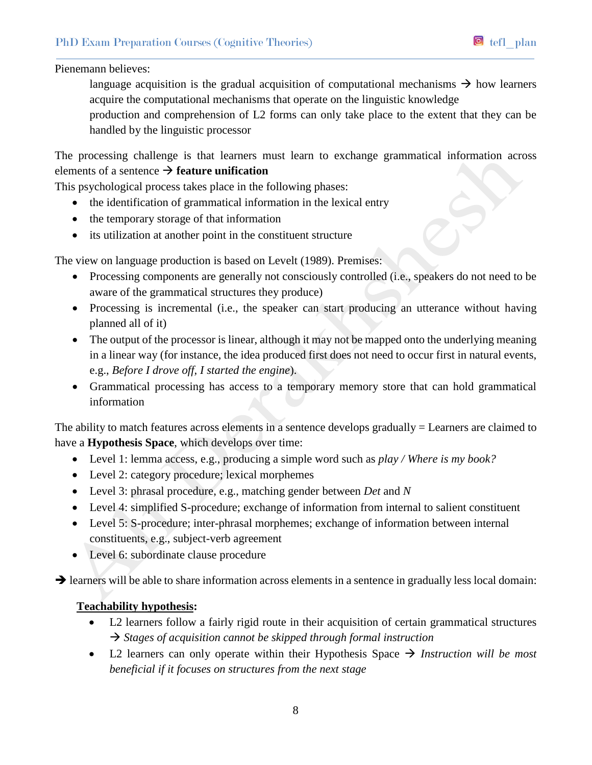## Pienemann believes:

language acquisition is the gradual acquisition of computational mechanisms  $\rightarrow$  how learners acquire the computational mechanisms that operate on the linguistic knowledge

production and comprehension of L2 forms can only take place to the extent that they can be handled by the linguistic processor

The processing challenge is that learners must learn to exchange grammatical information across elements of a sentence  $\rightarrow$  **feature unification** 

This psychological process takes place in the following phases:

- the identification of grammatical information in the lexical entry
- the temporary storage of that information
- its utilization at another point in the constituent structure

The view on language production is based on Levelt (1989). Premises:

- Processing components are generally not consciously controlled (i.e., speakers do not need to be aware of the grammatical structures they produce)
- Processing is incremental (i.e., the speaker can start producing an utterance without having planned all of it)
- The output of the processor is linear, although it may not be mapped onto the underlying meaning in a linear way (for instance, the idea produced first does not need to occur first in natural events, e.g., *Before I drove off, I started the engine*).
- Grammatical processing has access to a temporary memory store that can hold grammatical information

The ability to match features across elements in a sentence develops gradually = Learners are claimed to have a **Hypothesis Space**, which develops over time:

- Level 1: lemma access, e.g., producing a simple word such as *play / Where is my book?*
- Level 2: category procedure; lexical morphemes
- Level 3: phrasal procedure, e.g., matching gender between *Det* and *N*
- Level 4: simplified S-procedure; exchange of information from internal to salient constituent
- Level 5: S-procedure; inter-phrasal morphemes; exchange of information between internal constituents, e.g., subject-verb agreement
- Level 6: subordinate clause procedure

 $\rightarrow$  learners will be able to share information across elements in a sentence in gradually less local domain:

## **Teachability hypothesis:**

- L2 learners follow a fairly rigid route in their acquisition of certain grammatical structures *Stages of acquisition cannot be skipped through formal instruction*
- L2 learners can only operate within their Hypothesis Space  $\rightarrow$  Instruction will be most *beneficial if it focuses on structures from the next stage*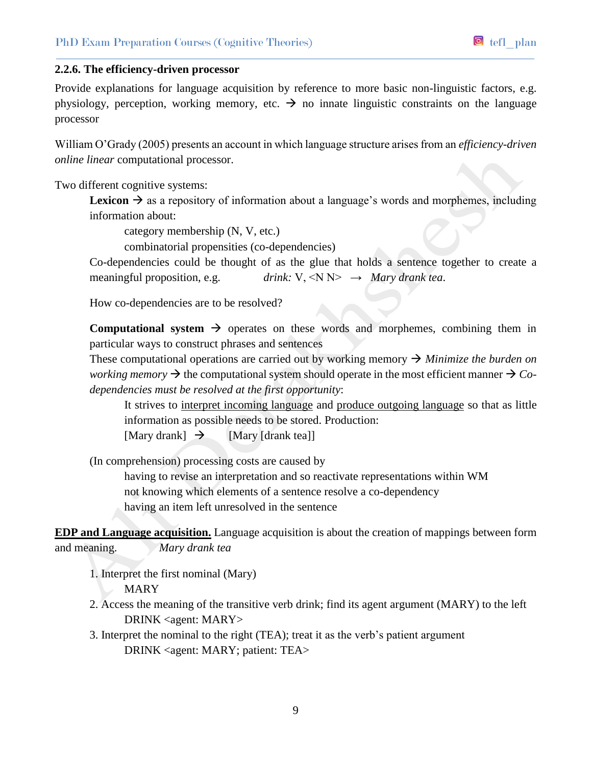## **2.2.6. The efficiency-driven processor**

Provide explanations for language acquisition by reference to more basic non-linguistic factors, e.g. physiology, perception, working memory, etc.  $\rightarrow$  no innate linguistic constraints on the language processor

William O'Grady (2005) presents an account in which language structure arises from an *efficiency-driven online linear* computational processor.

Two different cognitive systems:

**Lexicon**  $\rightarrow$  as a repository of information about a language's words and morphemes, including information about:

category membership (N, V, etc.)

combinatorial propensities (co-dependencies)

Co-dependencies could be thought of as the glue that holds a sentence together to create a meaningful proposition, e.g.  $drink: V, \langle N \rangle \rightarrow Mary \, drank \, tea.$ 

How co-dependencies are to be resolved?

**Computational system**  $\rightarrow$  operates on these words and morphemes, combining them in particular ways to construct phrases and sentences

These computational operations are carried out by working memory  $\rightarrow$  *Minimize the burden on working memory*  $\rightarrow$  the computational system should operate in the most efficient manner  $\rightarrow$  *Codependencies must be resolved at the first opportunity*:

It strives to interpret incoming language and produce outgoing language so that as little information as possible needs to be stored. Production: [Mary drank]  $\rightarrow$  [Mary [drank tea]]

(In comprehension) processing costs are caused by

having to revise an interpretation and so reactivate representations within WM not knowing which elements of a sentence resolve a co-dependency having an item left unresolved in the sentence

**EDP and Language acquisition.** Language acquisition is about the creation of mappings between form and meaning. *Mary drank tea*

1. Interpret the first nominal (Mary) **MARY** 

- 2. Access the meaning of the transitive verb drink; find its agent argument (MARY) to the left DRINK <agent: MARY>
- 3. Interpret the nominal to the right (TEA); treat it as the verb's patient argument DRINK <agent: MARY; patient: TEA>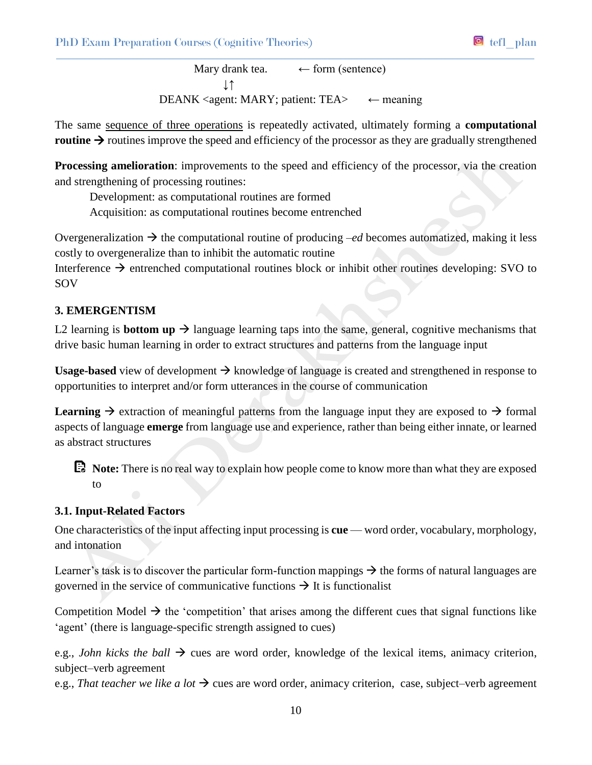Mary drank tea.  $\leftarrow$  form (sentence) ↓↑ DEANK <agent: MARY; patient: TEA $>$  ← meaning

The same sequence of three operations is repeatedly activated, ultimately forming a **computational routine**  $\rightarrow$  routines improve the speed and efficiency of the processor as they are gradually strengthened

**Processing amelioration**: improvements to the speed and efficiency of the processor, via the creation and strengthening of processing routines:

Development: as computational routines are formed

Acquisition: as computational routines become entrenched

Overgeneralization  $\rightarrow$  the computational routine of producing *–ed* becomes automatized, making it less costly to overgeneralize than to inhibit the automatic routine

Interference  $\rightarrow$  entrenched computational routines block or inhibit other routines developing: SVO to SOV

# **3. EMERGENTISM**

L2 learning is **bottom up**  $\rightarrow$  language learning taps into the same, general, cognitive mechanisms that drive basic human learning in order to extract structures and patterns from the language input

**Usage-based** view of development  $\rightarrow$  knowledge of language is created and strengthened in response to opportunities to interpret and/or form utterances in the course of communication

**Learning**  $\rightarrow$  extraction of meaningful patterns from the language input they are exposed to  $\rightarrow$  formal aspects of language **emerge** from language use and experience, rather than being either innate, or learned as abstract structures

**Note:** There is no real way to explain how people come to know more than what they are exposed to

# **3.1. Input-Related Factors**

One characteristics of the input affecting input processing is **cue** — word order, vocabulary, morphology, and intonation

Learner's task is to discover the particular form-function mappings  $\rightarrow$  the forms of natural languages are governed in the service of communicative functions  $\rightarrow$  It is functionalist

Competition Model  $\rightarrow$  the 'competition' that arises among the different cues that signal functions like 'agent' (there is language-specific strength assigned to cues)

e.g., *John kicks the ball*  $\rightarrow$  cues are word order, knowledge of the lexical items, animacy criterion, subject–verb agreement

e.g., *That teacher we like a lot*  $\rightarrow$  cues are word order, animacy criterion, case, subject–verb agreement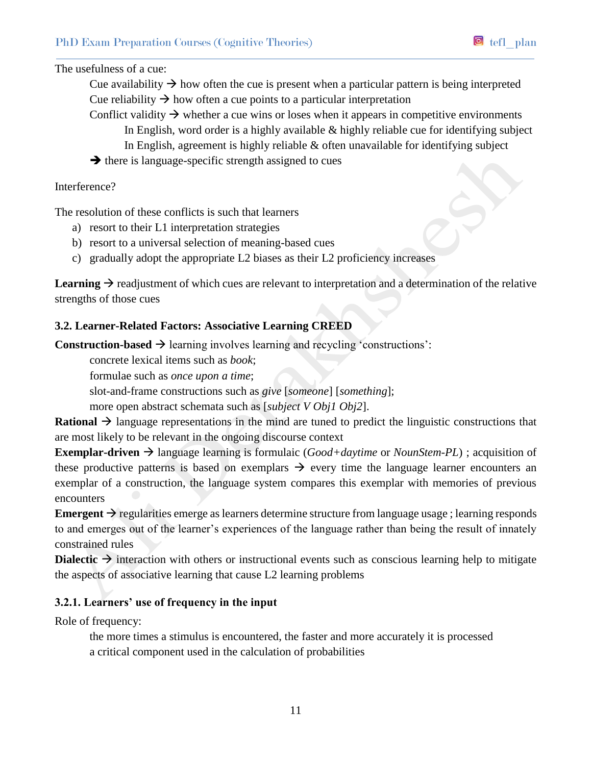The usefulness of a cue:

Cue availability  $\rightarrow$  how often the cue is present when a particular pattern is being interpreted Cue reliability  $\rightarrow$  how often a cue points to a particular interpretation

- Conflict validity  $\rightarrow$  whether a cue wins or loses when it appears in competitive environments In English, word order is a highly available & highly reliable cue for identifying subject In English, agreement is highly reliable & often unavailable for identifying subject
- $\rightarrow$  there is language-specific strength assigned to cues

## Interference?

The resolution of these conflicts is such that learners

- a) resort to their L1 interpretation strategies
- b) resort to a universal selection of meaning-based cues
- c) gradually adopt the appropriate L2 biases as their L2 proficiency increases

**Learning**  $\rightarrow$  readjustment of which cues are relevant to interpretation and a determination of the relative strengths of those cues

## **3.2. Learner-Related Factors: Associative Learning CREED**

**Construction-based**  $\rightarrow$  learning involves learning and recycling 'constructions':

concrete lexical items such as *book*;

formulae such as *once upon a time*;

slot-and-frame constructions such as *give* [*someone*] [*something*];

more open abstract schemata such as [*subject V Obj1 Obj2*].

**Rational**  $\rightarrow$  language representations in the mind are tuned to predict the linguistic constructions that are most likely to be relevant in the ongoing discourse context

**Exemplar-driven**  $\rightarrow$  language learning is formulaic (*Good+daytime* or *NounStem-PL*); acquisition of these productive patterns is based on exemplars  $\rightarrow$  every time the language learner encounters an exemplar of a construction, the language system compares this exemplar with memories of previous encounters

**Emergent**  $\rightarrow$  regularities emerge as learners determine structure from language usage; learning responds to and emerges out of the learner's experiences of the language rather than being the result of innately constrained rules

**Dialectic**  $\rightarrow$  interaction with others or instructional events such as conscious learning help to mitigate the aspects of associative learning that cause L2 learning problems

# **3.2.1. Learners' use of frequency in the input**

Role of frequency:

the more times a stimulus is encountered, the faster and more accurately it is processed a critical component used in the calculation of probabilities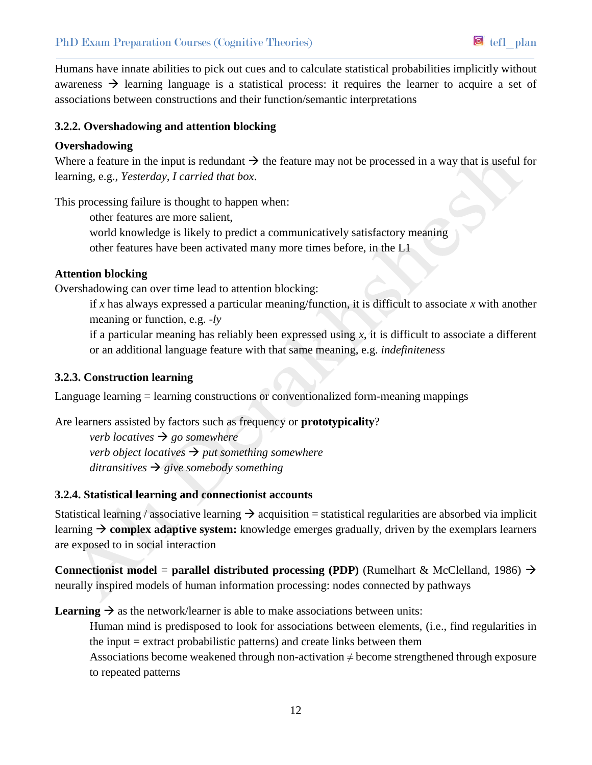Humans have innate abilities to pick out cues and to calculate statistical probabilities implicitly without awareness  $\rightarrow$  learning language is a statistical process: it requires the learner to acquire a set of associations between constructions and their function/semantic interpretations

## **3.2.2. Overshadowing and attention blocking**

#### **Overshadowing**

Where a feature in the input is redundant  $\rightarrow$  the feature may not be processed in a way that is useful for learning, e.g., *Yesterday, I carried that box*.

This processing failure is thought to happen when:

other features are more salient,

world knowledge is likely to predict a communicatively satisfactory meaning

other features have been activated many more times before, in the L1

## **Attention blocking**

Overshadowing can over time lead to attention blocking:

if *x* has always expressed a particular meaning/function, it is difficult to associate *x* with another meaning or function, e.g. *-ly*

if a particular meaning has reliably been expressed using *x*, it is difficult to associate a different or an additional language feature with that same meaning, e.g. *indefiniteness*

#### **3.2.3. Construction learning**

Language learning = learning constructions or conventionalized form-meaning mappings

Are learners assisted by factors such as frequency or **prototypicality**?

*verb locatives*  $\rightarrow$  *go somewhere verb object locatives*  $\rightarrow$  *put something somewhere ditransitives*  $\rightarrow$  *give somebody something* 

#### **3.2.4. Statistical learning and connectionist accounts**

Statistical learning / associative learning  $\rightarrow$  acquisition = statistical regularities are absorbed via implicit learning  $\rightarrow$  complex adaptive system: knowledge emerges gradually, driven by the exemplars learners are exposed to in social interaction

**Connectionist model** = **parallel distributed processing (PDP)** (Rumelhart & McClelland, 1986)  $\rightarrow$ neurally inspired models of human information processing: nodes connected by pathways

**Learning**  $\rightarrow$  as the network/learner is able to make associations between units:

Human mind is predisposed to look for associations between elements, (i.e., find regularities in the input = extract probabilistic patterns) and create links between them

Associations become weakened through non-activation  $\neq$  become strengthened through exposure to repeated patterns